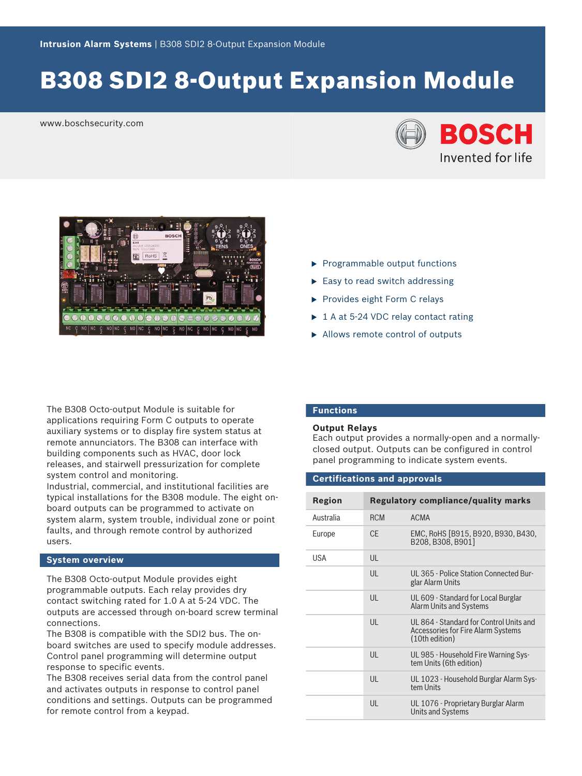# B308 SDI2 8-Output Expansion Module

www.boschsecurity.com





The B308 Octo-output Module is suitable for applications requiring Form C outputs to operate auxiliary systems or to display fire system status at remote annunciators. The B308 can interface with building components such as HVAC, door lock releases, and stairwell pressurization for complete system control and monitoring.

Industrial, commercial, and institutional facilities are typical installations for the B308 module. The eight onboard outputs can be programmed to activate on system alarm, system trouble, individual zone or point faults, and through remote control by authorized users.

### **System overview**

The B308 Octo-output Module provides eight programmable outputs. Each relay provides dry contact switching rated for 1.0 A at 5-24 VDC. The outputs are accessed through on-board screw terminal connections.

The B308 is compatible with the SDI2 bus. The onboard switches are used to specify module addresses. Control panel programming will determine output response to specific events.

The B308 receives serial data from the control panel and activates outputs in response to control panel conditions and settings. Outputs can be programmed for remote control from a keypad.

- $\blacktriangleright$  Programmable output functions
- $\blacktriangleright$  Easy to read switch addressing
- $\blacktriangleright$  Provides eight Form C relays
- $\triangleright$  1 A at 5-24 VDC relay contact rating
- $\blacktriangleright$  Allows remote control of outputs

### **Functions**

### **Output Relays**

Each output provides a normally-open and a normallyclosed output. Outputs can be configured in control panel programming to indicate system events.

### **Certifications and approvals**

| <b>Region</b> |              | <b>Regulatory compliance/quality marks</b>                                                      |
|---------------|--------------|-------------------------------------------------------------------------------------------------|
| Australia     | <b>RCM</b>   | <b>ACMA</b>                                                                                     |
| Europe        | <b>CE</b>    | EMC, RoHS [B915, B920, B930, B430,<br>B208. B308. B901]                                         |
| <b>USA</b>    | UL           |                                                                                                 |
|               | UL           | UL 365 - Police Station Connected Bur-<br>glar Alarm Units                                      |
|               | UL           | UL 609 - Standard for Local Burglar<br>Alarm Units and Systems                                  |
|               | UL           | UL 864 - Standard for Control Units and<br>Accessories for Fire Alarm Systems<br>(10th edition) |
|               | $\mathsf{U}$ | UL 985 - Household Fire Warning Sys-<br>tem Units (6th edition)                                 |
|               | UL           | UL 1023 - Household Burglar Alarm Sys-<br>tem Units                                             |
|               | UL           | UL 1076 - Proprietary Burglar Alarm<br><b>Units and Systems</b>                                 |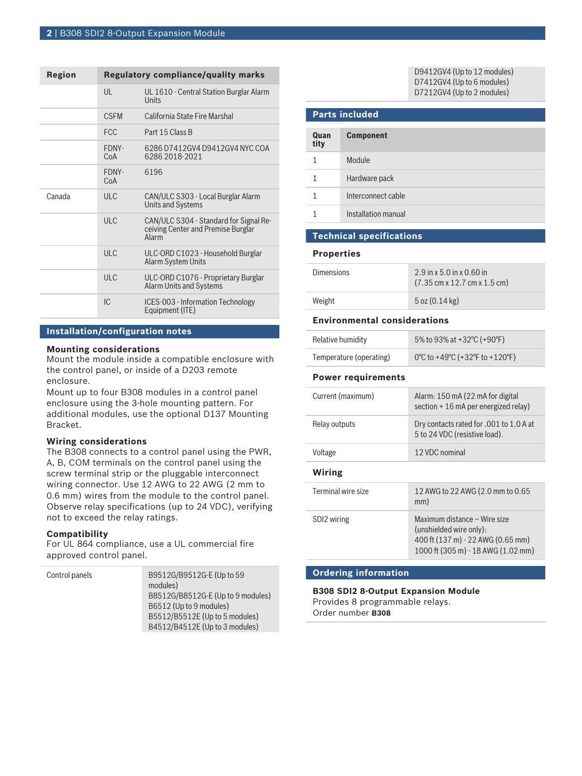| Region | <b>Regulatory compliance/quality marks</b> |                                                                                       |
|--------|--------------------------------------------|---------------------------------------------------------------------------------------|
|        | $\mathsf{U}$                               | UL 1610 - Central Station Burglar Alarm<br>Units                                      |
|        | <b>CSEM</b>                                | California State Fire Marshal                                                         |
|        | <b>FCC</b>                                 | Part 15 Class B                                                                       |
|        | FDNY-<br>CoA                               | 6286 D7412GV4 D9412GV4 NYC COA<br>6286 2018-2021                                      |
|        | FDNY-<br>CoA                               | 6196                                                                                  |
| Canada | ULC                                        | CAN/ULC S303 - Local Burglar Alarm<br><b>Units and Systems</b>                        |
|        | ULC                                        | CAN/ULC S304 - Standard for Signal Re-<br>ceiving Center and Premise Burglar<br>Alarm |
|        | ULC                                        | ULC-ORD C1023 - Household Burglar<br>Alarm System Units                               |
|        | ULC                                        | ULC-ORD C1076 - Proprietary Burglar<br><b>Alarm Units and Systems</b>                 |
|        | IC.                                        | ICES-003 - Information Technology<br>Equipment (ITE)                                  |

### **Installation/configuration notes**

### **Mounting considerations**

Mount the module inside a compatible enclosure with the control panel, or inside of a D203 remote enclosure.

Mount up to four B308 modules in a control panel enclosure using the 3-hole mounting pattern. For additional modules, use the optional D137 Mounting Bracket.

### **Wiring considerations**

The B308 connects to a control panel using the PWR, A, B, COM terminals on the control panel using the screw terminal strip or the pluggable interconnect wiring connector. Use 12 AWG to 22 AWG (2 mm to 0.6 mm) wires from the module to the control panel. Observe relay specifications (up to 24 VDC), verifying not to exceed the relay ratings.

### **Compatibility**

For UL 864 compliance, use a UL commercial fire approved control panel.

| Control panels | B9512G/B9512G-E (Up to 59         |
|----------------|-----------------------------------|
|                | modules)                          |
|                | B8512G/B8512G-E (Up to 9 modules) |
|                | B6512 (Up to 9 modules)           |
|                | B5512/B5512E (Up to 5 modules)    |
|                | B4512/B4512E (Up to 3 modules)    |

D9412GV4 (Up to 12 modules) D7412GV4 (Up to 6 modules) D7212GV4 (Up to 2 modules)

## **Parts included Quan tity Component** 1 Module 1 Hardware pack 1 Interconnect cable 1 Installation manual

### **Technical specifications**

### **Properties**

| <b>Dimensions</b> | $2.9$ in x 5.0 in x 0.60 in<br>$(7.35 \text{ cm} \times 12.7 \text{ cm} \times 1.5 \text{ cm})$ |
|-------------------|-------------------------------------------------------------------------------------------------|
| Weight            | $5$ oz $(0.14 \text{ kg})$                                                                      |

### **Environmental considerations**

| Curront (mavimum)         | Alarm, 150 mA (22 mA for digital |
|---------------------------|----------------------------------|
| <b>Power requirements</b> |                                  |
| Temperature (operating)   | 0°C to +49°C (+32°F to +120°F)   |
| Relative humidity         | 5% to 93% at +32 °C (+90 °F)     |

| Current (maximum)  | Alarm: 150 mA (22 mA for digital<br>section + 16 mA per energized relay)                                                           |
|--------------------|------------------------------------------------------------------------------------------------------------------------------------|
| Relay outputs      | Dry contacts rated for .001 to 1.0 A at<br>5 to 24 VDC (resistive load).                                                           |
| Voltage            | 12 VDC nominal                                                                                                                     |
| Wiring             |                                                                                                                                    |
| Terminal wire size | 12 AWG to 22 AWG (2.0 mm to 0.65<br>mm)                                                                                            |
| SDI2 wiring        | Maximum distance - Wire size<br>(unshielded wire only):<br>400 ft (137 m) - 22 AWG (0.65 mm)<br>1000 ft (305 m) - 18 AWG (1.02 mm) |

### **Ordering information**

### **B308 SDI2 8-Output Expansion Module** Provides 8 programmable relays. Order number **B308**